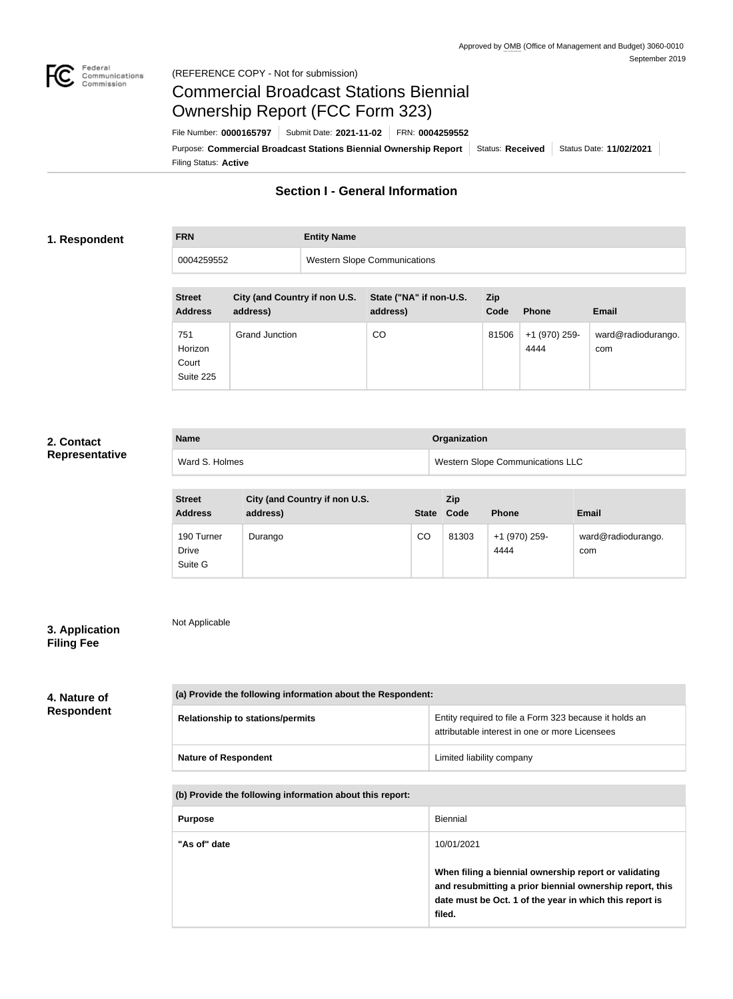

Not Applicable

# Commercial Broadcast Stations Biennial Ownership Report (FCC Form 323)

Filing Status: **Active** Purpose: Commercial Broadcast Stations Biennial Ownership Report Status: Received Status Date: 11/02/2021 File Number: **0000165797** Submit Date: **2021-11-02** FRN: **0004259552**

# **Section I - General Information**

## **1. Respondent**

**FRN Entity Name**

| 0004259552                           |                                           | <b>Western Slope Communications</b> |                                     |                    |                       |                           |
|--------------------------------------|-------------------------------------------|-------------------------------------|-------------------------------------|--------------------|-----------------------|---------------------------|
|                                      |                                           |                                     |                                     |                    |                       |                           |
| <b>Street</b><br><b>Address</b>      | City (and Country if non U.S.<br>address) |                                     | State ("NA" if non-U.S.<br>address) | <b>Zip</b><br>Code | <b>Phone</b>          | Email                     |
| 751<br>Horizon<br>Court<br>Suite 225 | <b>Grand Junction</b>                     |                                     | CO.                                 | 81506              | +1 (970) 259-<br>4444 | ward@radiodurango.<br>com |

# **2. Contact Representative**

| <b>Name</b>    | Organization                            |  |  |
|----------------|-----------------------------------------|--|--|
| Ward S. Holmes | <b>Western Slope Communications LLC</b> |  |  |

| <b>Street</b><br><b>Address</b>       | City (and Country if non U.S.<br>address) | <b>State</b> | <b>Zip</b><br>Code | <b>Phone</b>          | <b>Email</b>              |
|---------------------------------------|-------------------------------------------|--------------|--------------------|-----------------------|---------------------------|
| 190 Turner<br><b>Drive</b><br>Suite G | Durango                                   | CO           | 81303              | +1 (970) 259-<br>4444 | ward@radiodurango.<br>com |

# **3. Application Filing Fee**

# **4. Nature of Respondent**

| (a) Provide the following information about the Respondent: |                                                                                                          |  |  |
|-------------------------------------------------------------|----------------------------------------------------------------------------------------------------------|--|--|
| <b>Relationship to stations/permits</b>                     | Entity required to file a Form 323 because it holds an<br>attributable interest in one or more Licensees |  |  |
| <b>Nature of Respondent</b>                                 | Limited liability company                                                                                |  |  |

#### **(b) Provide the following information about this report:**

| <b>Purpose</b> | Biennial                                                                                                                                                                               |
|----------------|----------------------------------------------------------------------------------------------------------------------------------------------------------------------------------------|
| "As of" date   | 10/01/2021                                                                                                                                                                             |
|                | When filing a biennial ownership report or validating<br>and resubmitting a prior biennial ownership report, this<br>date must be Oct. 1 of the year in which this report is<br>filed. |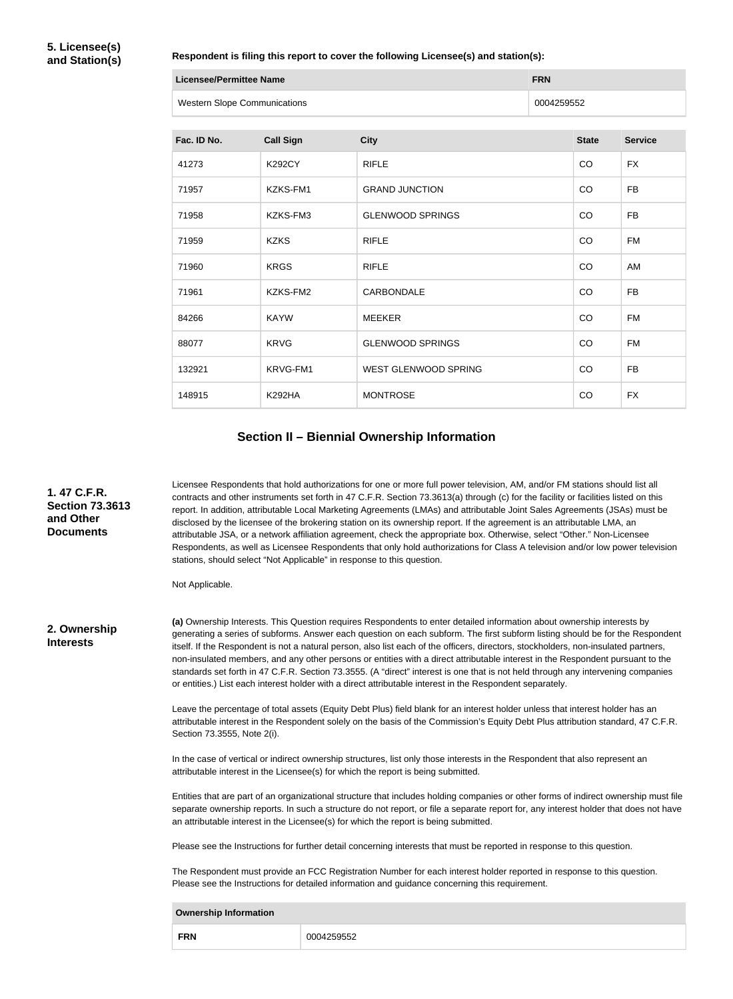#### **Respondent is filing this report to cover the following Licensee(s) and station(s):**

| Licensee/Permittee Name             | <b>FRN</b> |
|-------------------------------------|------------|
| <b>Western Slope Communications</b> | 0004259552 |

| Fac. ID No. | <b>Call Sign</b> | <b>City</b>                 | <b>State</b> | <b>Service</b> |
|-------------|------------------|-----------------------------|--------------|----------------|
| 41273       | <b>K292CY</b>    | <b>RIFLE</b>                | CO           | <b>FX</b>      |
| 71957       | KZKS-FM1         | <b>GRAND JUNCTION</b>       | CO           | <b>FB</b>      |
| 71958       | KZKS-FM3         | <b>GLENWOOD SPRINGS</b>     | CO           | <b>FB</b>      |
| 71959       | <b>KZKS</b>      | <b>RIFLE</b>                | CO           | <b>FM</b>      |
| 71960       | <b>KRGS</b>      | <b>RIFLE</b>                | CO           | AM             |
| 71961       | KZKS-FM2         | CARBONDALE                  | CO           | <b>FB</b>      |
| 84266       | <b>KAYW</b>      | <b>MEEKER</b>               | CO           | <b>FM</b>      |
| 88077       | <b>KRVG</b>      | <b>GLENWOOD SPRINGS</b>     | CO           | <b>FM</b>      |
| 132921      | KRVG-FM1         | <b>WEST GLENWOOD SPRING</b> | CO           | <b>FB</b>      |
| 148915      | <b>K292HA</b>    | <b>MONTROSE</b>             | CO           | <b>FX</b>      |

# **Section II – Biennial Ownership Information**

**1. 47 C.F.R. Section 73.3613 and Other Documents**

Licensee Respondents that hold authorizations for one or more full power television, AM, and/or FM stations should list all contracts and other instruments set forth in 47 C.F.R. Section 73.3613(a) through (c) for the facility or facilities listed on this report. In addition, attributable Local Marketing Agreements (LMAs) and attributable Joint Sales Agreements (JSAs) must be disclosed by the licensee of the brokering station on its ownership report. If the agreement is an attributable LMA, an attributable JSA, or a network affiliation agreement, check the appropriate box. Otherwise, select "Other." Non-Licensee Respondents, as well as Licensee Respondents that only hold authorizations for Class A television and/or low power television stations, should select "Not Applicable" in response to this question.

Not Applicable.

**2. Ownership Interests**

**(a)** Ownership Interests. This Question requires Respondents to enter detailed information about ownership interests by generating a series of subforms. Answer each question on each subform. The first subform listing should be for the Respondent itself. If the Respondent is not a natural person, also list each of the officers, directors, stockholders, non-insulated partners, non-insulated members, and any other persons or entities with a direct attributable interest in the Respondent pursuant to the standards set forth in 47 C.F.R. Section 73.3555. (A "direct" interest is one that is not held through any intervening companies or entities.) List each interest holder with a direct attributable interest in the Respondent separately.

Leave the percentage of total assets (Equity Debt Plus) field blank for an interest holder unless that interest holder has an attributable interest in the Respondent solely on the basis of the Commission's Equity Debt Plus attribution standard, 47 C.F.R. Section 73.3555, Note 2(i).

In the case of vertical or indirect ownership structures, list only those interests in the Respondent that also represent an attributable interest in the Licensee(s) for which the report is being submitted.

Entities that are part of an organizational structure that includes holding companies or other forms of indirect ownership must file separate ownership reports. In such a structure do not report, or file a separate report for, any interest holder that does not have an attributable interest in the Licensee(s) for which the report is being submitted.

Please see the Instructions for further detail concerning interests that must be reported in response to this question.

The Respondent must provide an FCC Registration Number for each interest holder reported in response to this question. Please see the Instructions for detailed information and guidance concerning this requirement.

| <b>Ownership Information</b> |            |  |  |  |
|------------------------------|------------|--|--|--|
| <b>FRN</b>                   | 0004259552 |  |  |  |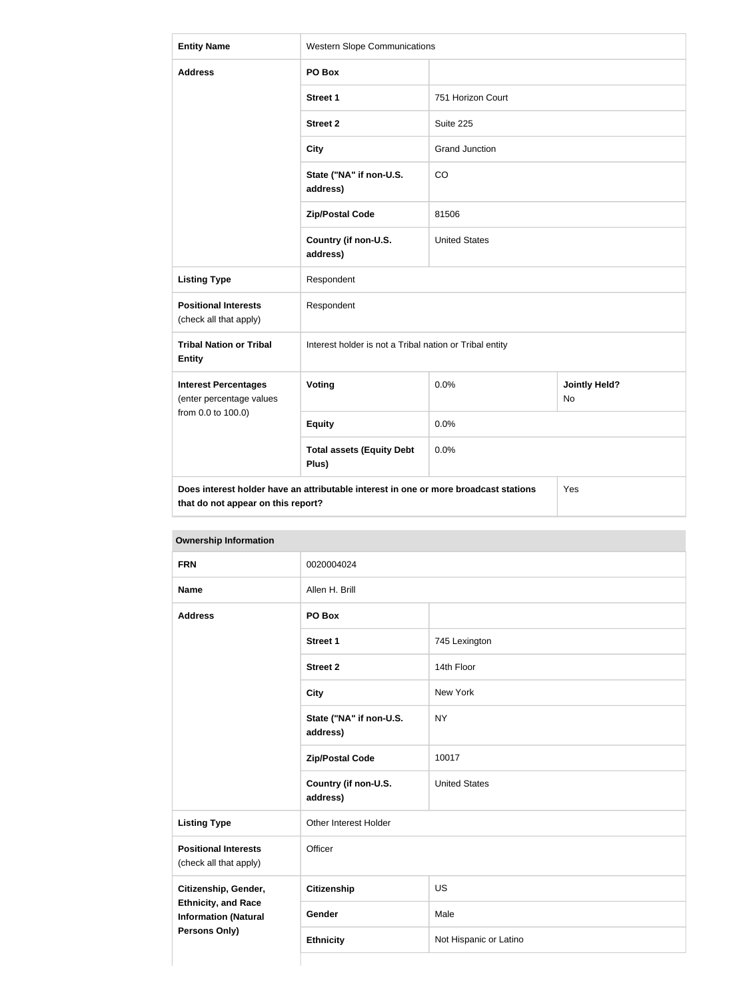| <b>Entity Name</b>                                                                                                                | <b>Western Slope Communications</b>                     |                       |                            |  |
|-----------------------------------------------------------------------------------------------------------------------------------|---------------------------------------------------------|-----------------------|----------------------------|--|
| <b>Address</b>                                                                                                                    | PO Box                                                  |                       |                            |  |
|                                                                                                                                   | Street 1                                                | 751 Horizon Court     |                            |  |
|                                                                                                                                   | <b>Street 2</b>                                         | Suite 225             |                            |  |
|                                                                                                                                   | <b>City</b>                                             | <b>Grand Junction</b> |                            |  |
|                                                                                                                                   | State ("NA" if non-U.S.<br>address)                     | CO                    |                            |  |
|                                                                                                                                   | <b>Zip/Postal Code</b>                                  | 81506                 |                            |  |
|                                                                                                                                   | Country (if non-U.S.<br>address)                        | <b>United States</b>  |                            |  |
| <b>Listing Type</b>                                                                                                               | Respondent                                              |                       |                            |  |
| <b>Positional Interests</b><br>(check all that apply)                                                                             | Respondent                                              |                       |                            |  |
| <b>Tribal Nation or Tribal</b><br><b>Entity</b>                                                                                   | Interest holder is not a Tribal nation or Tribal entity |                       |                            |  |
| <b>Interest Percentages</b><br>(enter percentage values                                                                           | Voting                                                  | 0.0%                  | <b>Jointly Held?</b><br>No |  |
| from 0.0 to 100.0)                                                                                                                | <b>Equity</b>                                           | 0.0%                  |                            |  |
|                                                                                                                                   | <b>Total assets (Equity Debt</b><br>Plus)               | 0.0%                  |                            |  |
| Does interest holder have an attributable interest in one or more broadcast stations<br>Yes<br>that do not appear on this report? |                                                         |                       |                            |  |

| <b>FRN</b>                                                                 | 0020004024                          |                        |  |  |
|----------------------------------------------------------------------------|-------------------------------------|------------------------|--|--|
| <b>Name</b>                                                                | Allen H. Brill                      |                        |  |  |
| <b>Address</b>                                                             | PO Box                              |                        |  |  |
|                                                                            | <b>Street 1</b>                     | 745 Lexington          |  |  |
|                                                                            | <b>Street 2</b>                     | 14th Floor             |  |  |
|                                                                            | <b>City</b>                         | New York               |  |  |
|                                                                            | State ("NA" if non-U.S.<br>address) | <b>NY</b>              |  |  |
|                                                                            | <b>Zip/Postal Code</b>              | 10017                  |  |  |
|                                                                            | Country (if non-U.S.<br>address)    | <b>United States</b>   |  |  |
| <b>Listing Type</b>                                                        | Other Interest Holder               |                        |  |  |
| <b>Positional Interests</b><br>(check all that apply)                      | Officer                             |                        |  |  |
| Citizenship, Gender,                                                       | <b>Citizenship</b>                  | US                     |  |  |
| <b>Ethnicity, and Race</b><br><b>Information (Natural</b><br>Persons Only) | Gender                              | Male                   |  |  |
|                                                                            | <b>Ethnicity</b>                    | Not Hispanic or Latino |  |  |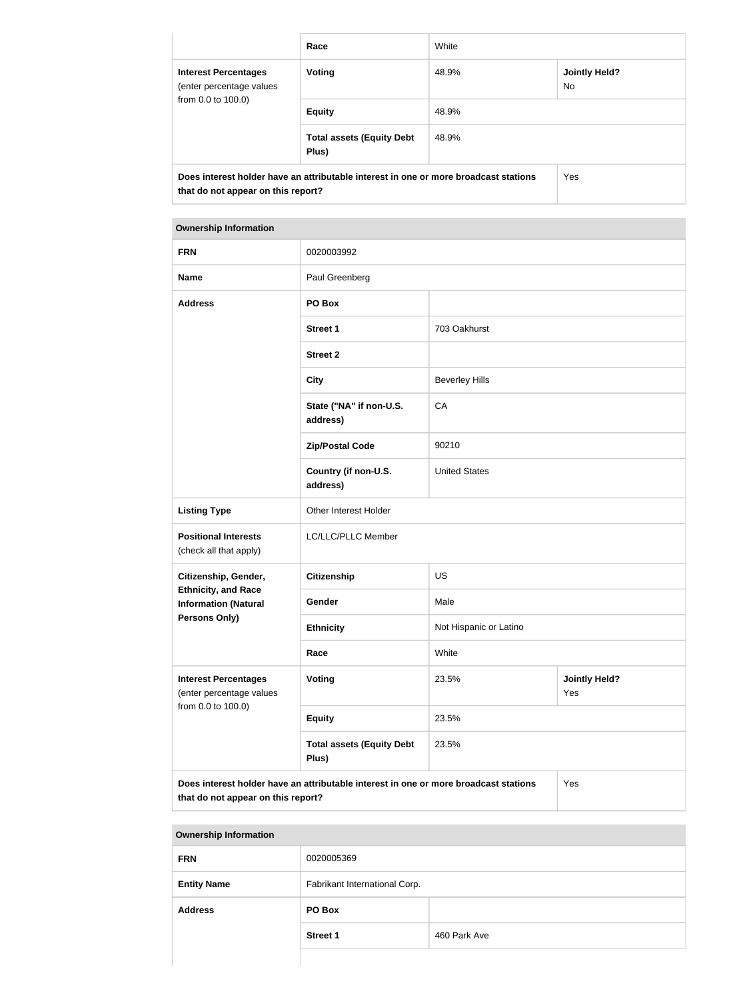|                                                                                                                            | Race                                      | White |                             |  |
|----------------------------------------------------------------------------------------------------------------------------|-------------------------------------------|-------|-----------------------------|--|
| <b>Interest Percentages</b><br>(enter percentage values<br>from 0.0 to 100.0)                                              | <b>Voting</b>                             | 48.9% | <b>Jointly Held?</b><br>No. |  |
|                                                                                                                            | <b>Equity</b>                             | 48.9% |                             |  |
|                                                                                                                            | <b>Total assets (Equity Debt</b><br>Plus) | 48.9% |                             |  |
| Does interest holder have an attributable interest in one or more broadcast stations<br>that do not appear on this report? | Yes                                       |       |                             |  |

| <b>Ownership Information</b>                                                                                                      |                                           |                                      |  |  |  |
|-----------------------------------------------------------------------------------------------------------------------------------|-------------------------------------------|--------------------------------------|--|--|--|
| <b>FRN</b>                                                                                                                        | 0020003992                                |                                      |  |  |  |
| <b>Name</b>                                                                                                                       | Paul Greenberg                            |                                      |  |  |  |
| <b>Address</b>                                                                                                                    | PO Box                                    |                                      |  |  |  |
|                                                                                                                                   | <b>Street 1</b>                           | 703 Oakhurst                         |  |  |  |
|                                                                                                                                   | <b>Street 2</b>                           |                                      |  |  |  |
|                                                                                                                                   | <b>City</b>                               | <b>Beverley Hills</b>                |  |  |  |
|                                                                                                                                   | State ("NA" if non-U.S.<br>address)       | CA                                   |  |  |  |
|                                                                                                                                   | <b>Zip/Postal Code</b>                    | 90210                                |  |  |  |
|                                                                                                                                   | Country (if non-U.S.<br>address)          | <b>United States</b>                 |  |  |  |
| <b>Listing Type</b>                                                                                                               | Other Interest Holder                     |                                      |  |  |  |
| <b>Positional Interests</b><br>(check all that apply)                                                                             | LC/LLC/PLLC Member                        |                                      |  |  |  |
| Citizenship, Gender,                                                                                                              | <b>Citizenship</b>                        | <b>US</b>                            |  |  |  |
| <b>Ethnicity, and Race</b><br><b>Information (Natural</b>                                                                         | Gender                                    | Male                                 |  |  |  |
| <b>Persons Only)</b>                                                                                                              | <b>Ethnicity</b>                          | Not Hispanic or Latino               |  |  |  |
|                                                                                                                                   | Race                                      | White                                |  |  |  |
| <b>Interest Percentages</b><br>(enter percentage values                                                                           | Voting                                    | 23.5%<br><b>Jointly Held?</b><br>Yes |  |  |  |
| from 0.0 to 100.0)                                                                                                                | <b>Equity</b>                             | 23.5%                                |  |  |  |
|                                                                                                                                   | <b>Total assets (Equity Debt</b><br>Plus) | 23.5%                                |  |  |  |
| Does interest holder have an attributable interest in one or more broadcast stations<br>Yes<br>that do not appear on this report? |                                           |                                      |  |  |  |

# **Ownership Information**

| <b>FRN</b>         | 0020005369                    |              |
|--------------------|-------------------------------|--------------|
| <b>Entity Name</b> | Fabrikant International Corp. |              |
| <b>Address</b>     | PO Box                        |              |
|                    | <b>Street 1</b>               | 460 Park Ave |
|                    |                               |              |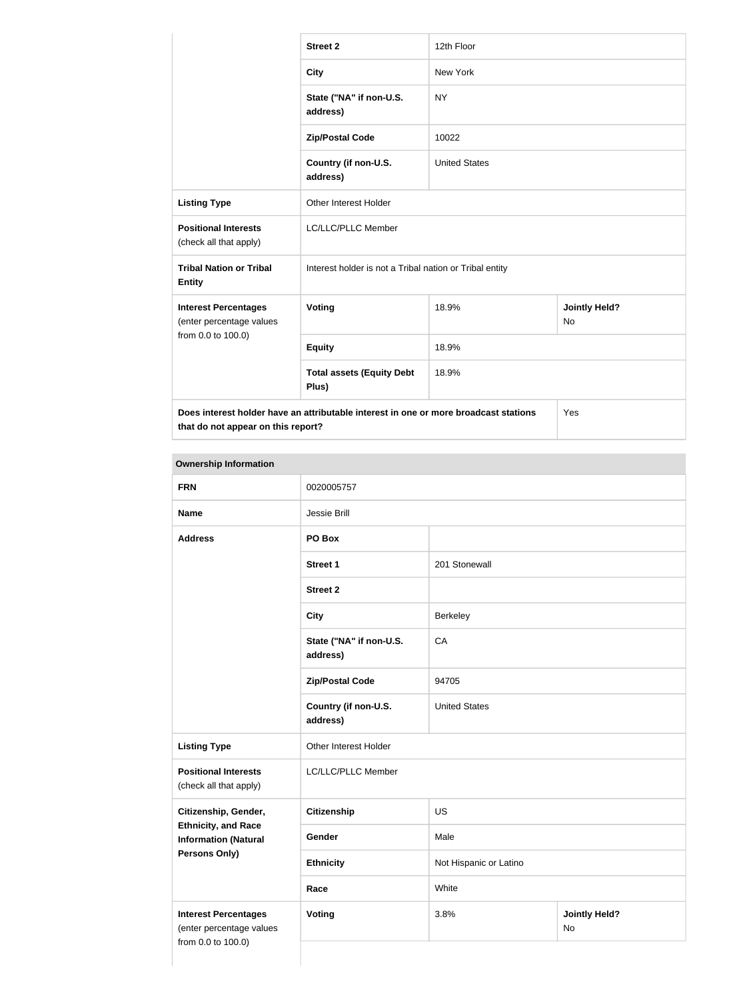|                                                                                                                            | <b>Street 2</b>                                         | 12th Floor           |                            |
|----------------------------------------------------------------------------------------------------------------------------|---------------------------------------------------------|----------------------|----------------------------|
|                                                                                                                            | <b>City</b>                                             | <b>New York</b>      |                            |
|                                                                                                                            | State ("NA" if non-U.S.<br>address)                     | <b>NY</b>            |                            |
|                                                                                                                            | <b>Zip/Postal Code</b>                                  | 10022                |                            |
|                                                                                                                            | Country (if non-U.S.<br>address)                        | <b>United States</b> |                            |
| <b>Listing Type</b>                                                                                                        | <b>Other Interest Holder</b>                            |                      |                            |
| <b>Positional Interests</b><br>(check all that apply)                                                                      | LC/LLC/PLLC Member                                      |                      |                            |
| <b>Tribal Nation or Tribal</b><br><b>Entity</b>                                                                            | Interest holder is not a Tribal nation or Tribal entity |                      |                            |
| <b>Interest Percentages</b><br>(enter percentage values                                                                    | Voting                                                  | 18.9%                | <b>Jointly Held?</b><br>No |
| from 0.0 to 100.0)                                                                                                         | <b>Equity</b>                                           | 18.9%                |                            |
|                                                                                                                            | <b>Total assets (Equity Debt</b><br>Plus)               | 18.9%                |                            |
| Does interest holder have an attributable interest in one or more broadcast stations<br>that do not appear on this report? |                                                         | Yes                  |                            |

# **Ownership Information**

| <b>FRN</b>                                                | 0020005757                          |                        |                            |
|-----------------------------------------------------------|-------------------------------------|------------------------|----------------------------|
| <b>Name</b>                                               | Jessie Brill                        |                        |                            |
| <b>Address</b>                                            | PO Box                              |                        |                            |
|                                                           | <b>Street 1</b>                     | 201 Stonewall          |                            |
|                                                           | <b>Street 2</b>                     |                        |                            |
|                                                           | <b>City</b>                         | Berkeley               |                            |
|                                                           | State ("NA" if non-U.S.<br>address) | CA                     |                            |
|                                                           | <b>Zip/Postal Code</b>              | 94705                  |                            |
|                                                           | Country (if non-U.S.<br>address)    | <b>United States</b>   |                            |
| <b>Listing Type</b>                                       | Other Interest Holder               |                        |                            |
| <b>Positional Interests</b><br>(check all that apply)     | LC/LLC/PLLC Member                  |                        |                            |
| Citizenship, Gender,                                      | Citizenship                         | <b>US</b>              |                            |
| <b>Ethnicity, and Race</b><br><b>Information (Natural</b> | Gender                              | Male                   |                            |
| Persons Only)                                             | <b>Ethnicity</b>                    | Not Hispanic or Latino |                            |
|                                                           | Race                                | White                  |                            |
| <b>Interest Percentages</b><br>(enter percentage values   | <b>Voting</b>                       | 3.8%                   | <b>Jointly Held?</b><br>No |
| from 0.0 to 100.0)                                        |                                     |                        |                            |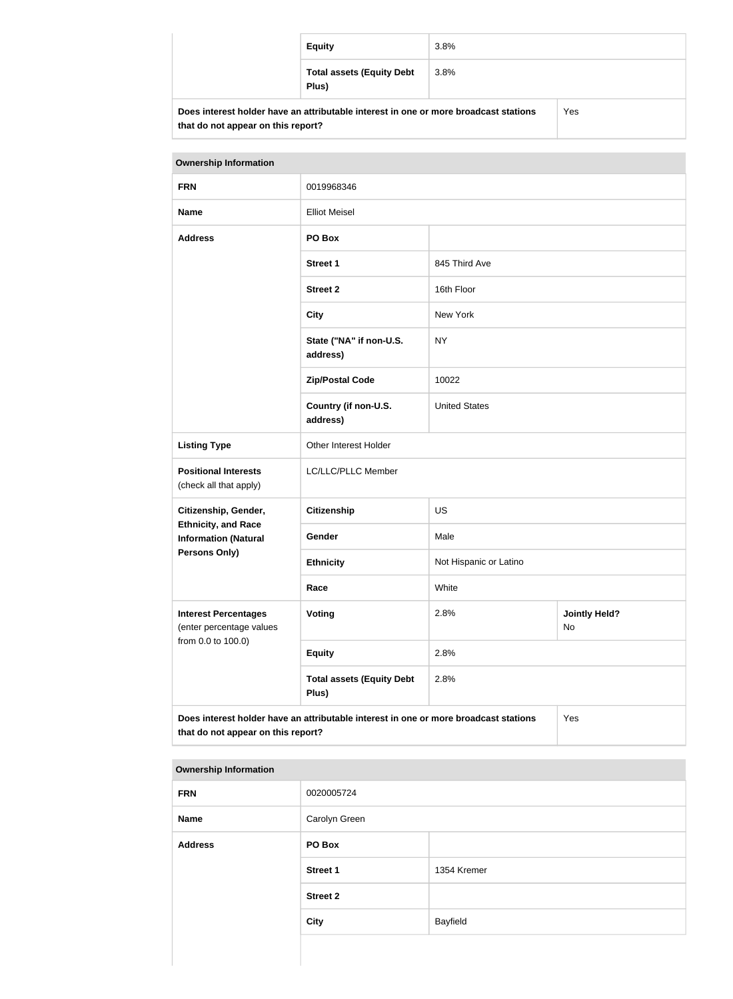|                                                                                      | <b>Equity</b>                             | 3.8%    |  |
|--------------------------------------------------------------------------------------|-------------------------------------------|---------|--|
|                                                                                      | <b>Total assets (Equity Debt</b><br>Plus) | $3.8\%$ |  |
| Does interest holder have an attributable interest in one or more broadcast stations |                                           | Yes     |  |

| <b>Ownership Information</b>                                                                                                      |                                           |                                    |  |
|-----------------------------------------------------------------------------------------------------------------------------------|-------------------------------------------|------------------------------------|--|
| <b>FRN</b>                                                                                                                        | 0019968346                                |                                    |  |
| <b>Name</b>                                                                                                                       | <b>Elliot Meisel</b>                      |                                    |  |
| <b>Address</b>                                                                                                                    | PO Box                                    |                                    |  |
|                                                                                                                                   | <b>Street 1</b>                           | 845 Third Ave                      |  |
|                                                                                                                                   | <b>Street 2</b>                           | 16th Floor                         |  |
|                                                                                                                                   | <b>City</b>                               | New York                           |  |
|                                                                                                                                   | State ("NA" if non-U.S.<br>address)       | <b>NY</b>                          |  |
|                                                                                                                                   | <b>Zip/Postal Code</b>                    | 10022                              |  |
|                                                                                                                                   | Country (if non-U.S.<br>address)          | <b>United States</b>               |  |
| <b>Listing Type</b>                                                                                                               | Other Interest Holder                     |                                    |  |
| <b>Positional Interests</b><br>(check all that apply)                                                                             | LC/LLC/PLLC Member                        |                                    |  |
| Citizenship, Gender,                                                                                                              | <b>Citizenship</b>                        | US                                 |  |
| <b>Ethnicity, and Race</b><br><b>Information (Natural</b>                                                                         | Gender                                    | Male                               |  |
| Persons Only)                                                                                                                     | <b>Ethnicity</b>                          | Not Hispanic or Latino             |  |
|                                                                                                                                   | Race                                      | White                              |  |
| <b>Interest Percentages</b><br>(enter percentage values<br>from 0.0 to 100.0)                                                     | Voting                                    | 2.8%<br><b>Jointly Held?</b><br>No |  |
|                                                                                                                                   | <b>Equity</b>                             | 2.8%                               |  |
|                                                                                                                                   | <b>Total assets (Equity Debt</b><br>Plus) | 2.8%                               |  |
| Does interest holder have an attributable interest in one or more broadcast stations<br>Yes<br>that do not appear on this report? |                                           |                                    |  |

#### **Ownership Information**

**that do not appear on this report?**

| <b>FRN</b>     | 0020005724      |             |
|----------------|-----------------|-------------|
| Name           | Carolyn Green   |             |
| <b>Address</b> | PO Box          |             |
|                | <b>Street 1</b> | 1354 Kremer |
|                | <b>Street 2</b> |             |
|                | <b>City</b>     | Bayfield    |
|                |                 |             |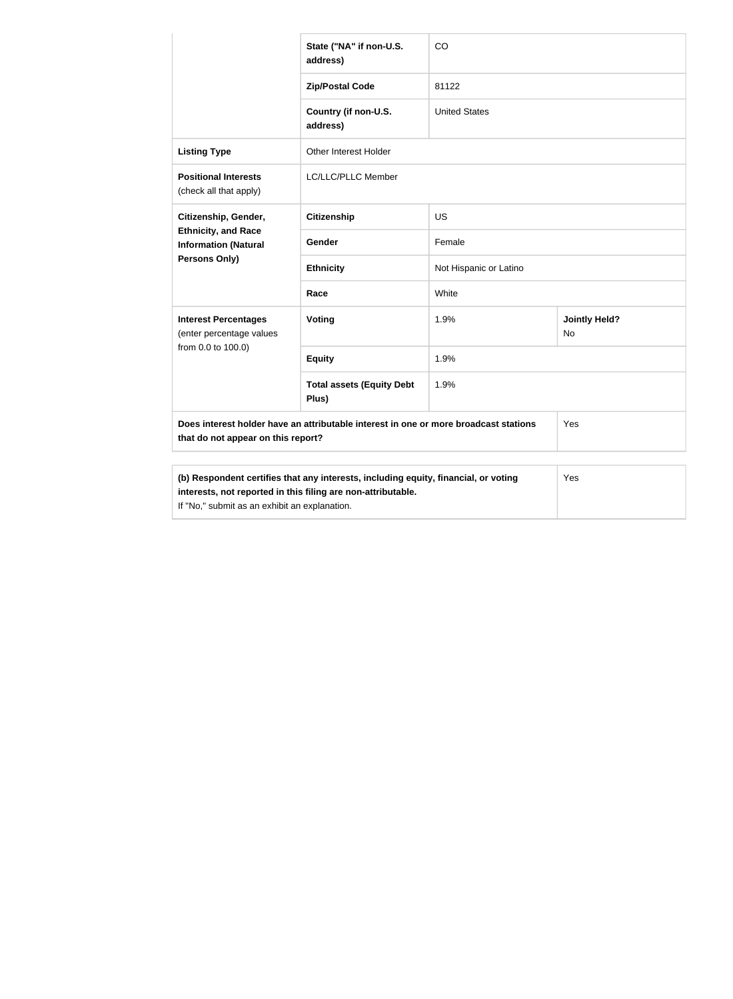|                                                                                                                                                                                                             | State ("NA" if non-U.S.<br>address)       | CO                     |                                   |
|-------------------------------------------------------------------------------------------------------------------------------------------------------------------------------------------------------------|-------------------------------------------|------------------------|-----------------------------------|
|                                                                                                                                                                                                             | <b>Zip/Postal Code</b>                    | 81122                  |                                   |
|                                                                                                                                                                                                             | Country (if non-U.S.<br>address)          | <b>United States</b>   |                                   |
| <b>Listing Type</b>                                                                                                                                                                                         | Other Interest Holder                     |                        |                                   |
| <b>Positional Interests</b><br>(check all that apply)                                                                                                                                                       | LC/LLC/PLLC Member                        |                        |                                   |
| Citizenship, Gender,                                                                                                                                                                                        | <b>Citizenship</b>                        | <b>US</b>              |                                   |
| <b>Ethnicity, and Race</b><br><b>Information (Natural</b>                                                                                                                                                   | Gender                                    | Female                 |                                   |
| Persons Only)                                                                                                                                                                                               | <b>Ethnicity</b>                          | Not Hispanic or Latino |                                   |
|                                                                                                                                                                                                             | Race                                      | White                  |                                   |
| <b>Interest Percentages</b><br>(enter percentage values                                                                                                                                                     | Voting                                    | 1.9%                   | <b>Jointly Held?</b><br><b>No</b> |
| from 0.0 to 100.0)                                                                                                                                                                                          | <b>Equity</b>                             | 1.9%                   |                                   |
|                                                                                                                                                                                                             | <b>Total assets (Equity Debt</b><br>Plus) | 1.9%                   |                                   |
| Does interest holder have an attributable interest in one or more broadcast stations<br>Yes<br>that do not appear on this report?                                                                           |                                           |                        |                                   |
|                                                                                                                                                                                                             |                                           |                        |                                   |
| (b) Respondent certifies that any interests, including equity, financial, or voting<br>Yes<br>interests, not reported in this filing are non-attributable.<br>If "No," submit as an exhibit an explanation. |                                           |                        |                                   |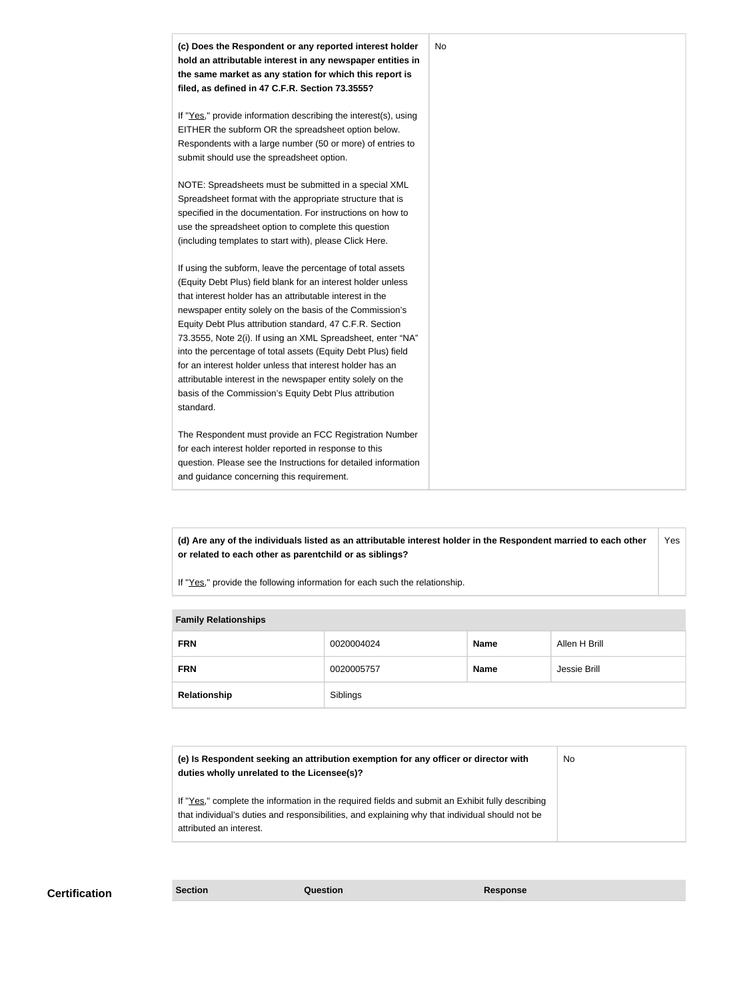

**(d) Are any of the individuals listed as an attributable interest holder in the Respondent married to each other or related to each other as parentchild or as siblings?** Yes

If "Yes," provide the following information for each such the relationship.

#### **Family Relationships**

| <b>FRN</b>   | 0020004024 | <b>Name</b> | Allen H Brill |
|--------------|------------|-------------|---------------|
| <b>FRN</b>   | 0020005757 | <b>Name</b> | Jessie Brill  |
| Relationship | Siblings   |             |               |

| (e) Is Respondent seeking an attribution exemption for any officer or director with<br>duties wholly unrelated to the Licensee(s)?                                                                                             | <b>No</b> |
|--------------------------------------------------------------------------------------------------------------------------------------------------------------------------------------------------------------------------------|-----------|
| If "Yes," complete the information in the required fields and submit an Exhibit fully describing<br>that individual's duties and responsibilities, and explaining why that individual should not be<br>attributed an interest. |           |